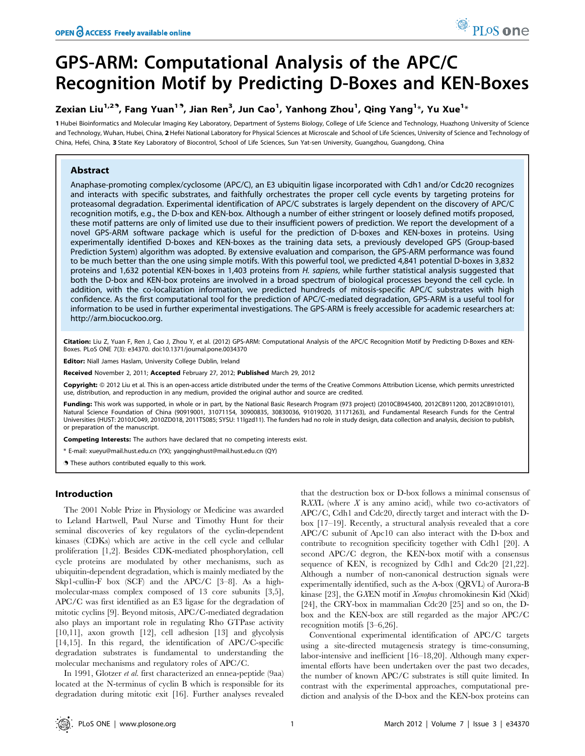# GPS-ARM: Computational Analysis of the APC/C Recognition Motif by Predicting D-Boxes and KEN-Boxes

# Zexian Liu $^{1,2},}$  Fang Yuan $^{1\textdegree},$  Jian Ren $^3$ , Jun Cao $^1$ , Yanhong Zhou $^1$ , Qing Yang $^{1*}$ , Yu Xue $^{1*}$

1 Hubei Bioinformatics and Molecular Imaging Key Laboratory, Department of Systems Biology, College of Life Science and Technology, Huazhong University of Science and Technology, Wuhan, Hubei, China, 2 Hefei National Laboratory for Physical Sciences at Microscale and School of Life Sciences, University of Science and Technology of China, Hefei, China, 3 State Key Laboratory of Biocontrol, School of Life Sciences, Sun Yat-sen University, Guangzhou, Guangdong, China

# Abstract

Anaphase-promoting complex/cyclosome (APC/C), an E3 ubiquitin ligase incorporated with Cdh1 and/or Cdc20 recognizes and interacts with specific substrates, and faithfully orchestrates the proper cell cycle events by targeting proteins for proteasomal degradation. Experimental identification of APC/C substrates is largely dependent on the discovery of APC/C recognition motifs, e.g., the D-box and KEN-box. Although a number of either stringent or loosely defined motifs proposed, these motif patterns are only of limited use due to their insufficient powers of prediction. We report the development of a novel GPS-ARM software package which is useful for the prediction of D-boxes and KEN-boxes in proteins. Using experimentally identified D-boxes and KEN-boxes as the training data sets, a previously developed GPS (Group-based Prediction System) algorithm was adopted. By extensive evaluation and comparison, the GPS-ARM performance was found to be much better than the one using simple motifs. With this powerful tool, we predicted 4,841 potential D-boxes in 3,832 proteins and 1,632 potential KEN-boxes in 1,403 proteins from H. sapiens, while further statistical analysis suggested that both the D-box and KEN-box proteins are involved in a broad spectrum of biological processes beyond the cell cycle. In addition, with the co-localization information, we predicted hundreds of mitosis-specific APC/C substrates with high confidence. As the first computational tool for the prediction of APC/C-mediated degradation, GPS-ARM is a useful tool for information to be used in further experimental investigations. The GPS-ARM is freely accessible for academic researchers at: http://arm.biocuckoo.org.

Citation: Liu Z, Yuan F, Ren J, Cao J, Zhou Y, et al. (2012) GPS-ARM: Computational Analysis of the APC/C Recognition Motif by Predicting D-Boxes and KEN-Boxes. PLoS ONE 7(3): e34370. doi:10.1371/journal.pone.0034370

Editor: Niall James Haslam, University College Dublin, Ireland

Received November 2, 2011; Accepted February 27, 2012; Published March 29, 2012

Copyright: © 2012 Liu et al. This is an open-access article distributed under the terms of the Creative Commons Attribution License, which permits unrestricted use, distribution, and reproduction in any medium, provided the original author and source are credited.

Funding: This work was supported, in whole or in part, by the National Basic Research Program (973 project) (2010CB945400, 2012CB911200, 2012CB910101), Natural Science Foundation of China (90919001, 31071154, 30900835, 30830036, 91019020, 31171263), and Fundamental Research Funds for the Central Universities (HUST: 2010JC049, 2010ZD018, 2011TS085; SYSU: 11lgzd11). The funders had no role in study design, data collection and analysis, decision to publish, or preparation of the manuscript.

Competing Interests: The authors have declared that no competing interests exist.

\* E-mail: xueyu@mail.hust.edu.cn (YX); yangqinghust@mail.hust.edu.cn (QY)

. These authors contributed equally to this work.

## Introduction

The 2001 Noble Prize in Physiology or Medicine was awarded to Leland Hartwell, Paul Nurse and Timothy Hunt for their seminal discoveries of key regulators of the cyclin-dependent kinases (CDKs) which are active in the cell cycle and cellular proliferation [1,2]. Besides CDK-mediated phosphorylation, cell cycle proteins are modulated by other mechanisms, such as ubiquitin-dependent degradation, which is mainly mediated by the Skp1-cullin-F box (SCF) and the APC/C [3–8]. As a highmolecular-mass complex composed of 13 core subunits [3,5], APC/C was first identified as an E3 ligase for the degradation of mitotic cyclins [9]. Beyond mitosis, APC/C-mediated degradation also plays an important role in regulating Rho GTPase activity [10,11], axon growth [12], cell adhesion [13] and glycolysis [14,15]. In this regard, the identification of APC/C-specific degradation substrates is fundamental to understanding the molecular mechanisms and regulatory roles of APC/C.

In 1991, Glotzer et al. first characterized an ennea-peptide (9aa) located at the N-terminus of cyclin B which is responsible for its degradation during mitotic exit [16]. Further analyses revealed

that the destruction box or D-box follows a minimal consensus of RXXL (where  $X$  is any amino acid), while two co-activators of APC/C, Cdh1 and Cdc20, directly target and interact with the Dbox [17–19]. Recently, a structural analysis revealed that a core APC/C subunit of Apc10 can also interact with the D-box and contribute to recognition specificity together with Cdh1 [20]. A second APC/C degron, the KEN-box motif with a consensus sequence of KEN, is recognized by Cdh1 and Cdc20 [21,22]. Although a number of non-canonical destruction signals were experimentally identified, such as the A-box (QRVL) of Aurora-B kinase [23], the GXEN motif in Xenopus chromokinesin Kid (Xkid) [24], the CRY-box in mammalian Cdc20 [25] and so on, the Dbox and the KEN-box are still regarded as the major APC/C recognition motifs [3–6,26].

Conventional experimental identification of APC/C targets using a site-directed mutagenesis strategy is time-consuming, labor-intensive and inefficient [16–18,20]. Although many experimental efforts have been undertaken over the past two decades, the number of known APC/C substrates is still quite limited. In contrast with the experimental approaches, computational prediction and analysis of the D-box and the KEN-box proteins can

PLoS one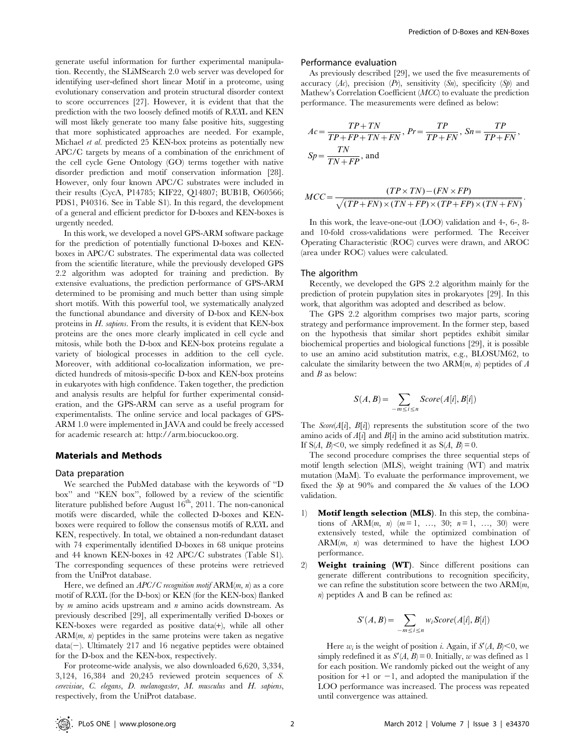generate useful information for further experimental manipulation. Recently, the SLiMSearch 2.0 web server was developed for identifying user-defined short linear Motif in a proteome, using evolutionary conservation and protein structural disorder context to score occurrences [27]. However, it is evident that that the prediction with the two loosely defined motifs of RXXL and KEN will most likely generate too many false positive hits, suggesting that more sophisticated approaches are needed. For example, Michael et al. predicted 25 KEN-box proteins as potentially new APC/C targets by means of a combination of the enrichment of the cell cycle Gene Ontology (GO) terms together with native disorder prediction and motif conservation information [28]. However, only four known APC/C substrates were included in their results (CycA, P14785; KIF22, Q14807; BUB1B, O60566; PDS1, P40316. See in Table S1). In this regard, the development of a general and efficient predictor for D-boxes and KEN-boxes is urgently needed.

In this work, we developed a novel GPS-ARM software package for the prediction of potentially functional D-boxes and KENboxes in APC/C substrates. The experimental data was collected from the scientific literature, while the previously developed GPS 2.2 algorithm was adopted for training and prediction. By extensive evaluations, the prediction performance of GPS-ARM determined to be promising and much better than using simple short motifs. With this powerful tool, we systematically analyzed the functional abundance and diversity of D-box and KEN-box proteins in H. sapiens. From the results, it is evident that KEN-box proteins are the ones more clearly implicated in cell cycle and mitosis, while both the D-box and KEN-box proteins regulate a variety of biological processes in addition to the cell cycle. Moreover, with additional co-localization information, we predicted hundreds of mitosis-specific D-box and KEN-box proteins in eukaryotes with high confidence. Taken together, the prediction and analysis results are helpful for further experimental consideration, and the GPS-ARM can serve as a useful program for experimentalists. The online service and local packages of GPS-ARM 1.0 were implemented in JAVA and could be freely accessed for academic research at: http://arm.biocuckoo.org.

#### Materials and Methods

#### Data preparation

We searched the PubMed database with the keywords of ''D box'' and ''KEN box'', followed by a review of the scientific literature published before August 16<sup>th</sup>, 2011. The non-canonical motifs were discarded, while the collected D-boxes and KENboxes were required to follow the consensus motifs of RXXL and KEN, respectively. In total, we obtained a non-redundant dataset with 74 experimentally identified D-boxes in 68 unique proteins and 44 known KEN-boxes in 42 APC/C substrates (Table S1). The corresponding sequences of these proteins were retrieved from the UniProt database.

Here, we defined an  $APC/C$  recognition motif  $ARM(m, n)$  as a core motif of RXXL (for the D-box) or KEN (for the KEN-box) flanked by  $m$  amino acids upstream and  $n$  amino acids downstream. As previously described [29], all experimentally verified D-boxes or KEN-boxes were regarded as positive data(+), while all other  $ARM(m, n)$  peptides in the same proteins were taken as negative  $data(-)$ . Ultimately 217 and 16 negative peptides were obtained for the D-box and the KEN-box, respectively.

For proteome-wide analysis, we also downloaded 6,620, 3,334, 3,124, 16,384 and 20,245 reviewed protein sequences of S. cerevisiae, C. elegans, D. melanogaster, M. musculus and H. sapiens, respectively, from the UniProt database.

#### Performance evaluation

As previously described [29], we used the five measurements of accuracy  $(Ac)$ , precision  $(Pr)$ , sensitivity  $(Sn)$ , specificity  $(Sp)$  and Mathew's Correlation Coefficient (MCC) to evaluate the prediction performance. The measurements were defined as below:

$$
Ac = \frac{TP + TN}{TP + FP + TN + FN}, \ Pr = \frac{TP}{TP + FN}, \ Sn = \frac{TP}{TP + FN},
$$

$$
Sp = \frac{TN}{TN + FP}, \text{ and}
$$

$$
MCC = \frac{(TP \times TN) - (FN \times FP)}{\sqrt{(TP + FN) \times (TN + FP) \times (TP + FP) \times (TN + FN)}}
$$

In this work, the leave-one-out (LOO) validation and 4-, 6-, 8 and 10-fold cross-validations were performed. The Receiver Operating Characteristic (ROC) curves were drawn, and AROC (area under ROC) values were calculated.

#### The algorithm

Recently, we developed the GPS 2.2 algorithm mainly for the prediction of protein pupylation sites in prokaryotes [29]. In this work, that algorithm was adopted and described as below.

The GPS 2.2 algorithm comprises two major parts, scoring strategy and performance improvement. In the former step, based on the hypothesis that similar short peptides exhibit similar biochemical properties and biological functions [29], it is possible to use an amino acid substitution matrix, e.g., BLOSUM62, to calculate the similarity between the two  $ARM(m, n)$  peptides of A and  $B$  as below:

$$
S(A, B) = \sum_{-m \le i \le n} Score(A[i], B[i])
$$

The  $Score(A[i], B[i])$  represents the substitution score of the two amino acids of  $A[i]$  and  $B[i]$  in the amino acid substitution matrix. If S(A, B) < 0, we simply redefined it as  $S(A, B) = 0$ .

The second procedure comprises the three sequential steps of motif length selection (MLS), weight training (WT) and matrix mutation (MaM). To evaluate the performance improvement, we fixed the  $Sp$  at 90% and compared the  $Sn$  values of the LOO validation.

- 1) Motif length selection (MLS). In this step, the combinations of ARM $(m, n)$   $(m=1, ..., 30; n=1, ..., 30)$  were extensively tested, while the optimized combination of  $ARM(m, n)$  was determined to have the highest LOO performance.
- 2) Weight training (WT). Since different positions can generate different contributions to recognition specificity, we can refine the substitution score between the two  $ARM(m,$ n) peptides A and B can be refined as:

$$
S'(A, B) = \sum_{-m \le i \le n} w_i Score(A[i], B[i])
$$

Here  $w_i$  is the weight of position *i*. Again, if  $S'(A, B) \le 0$ , we simply redefined it as  $S'(A, B) = 0$ . Initially, w was defined as 1 for each position. We randomly picked out the weight of any position for  $+1$  or  $-1$ , and adopted the manipulation if the LOO performance was increased. The process was repeated until convergence was attained.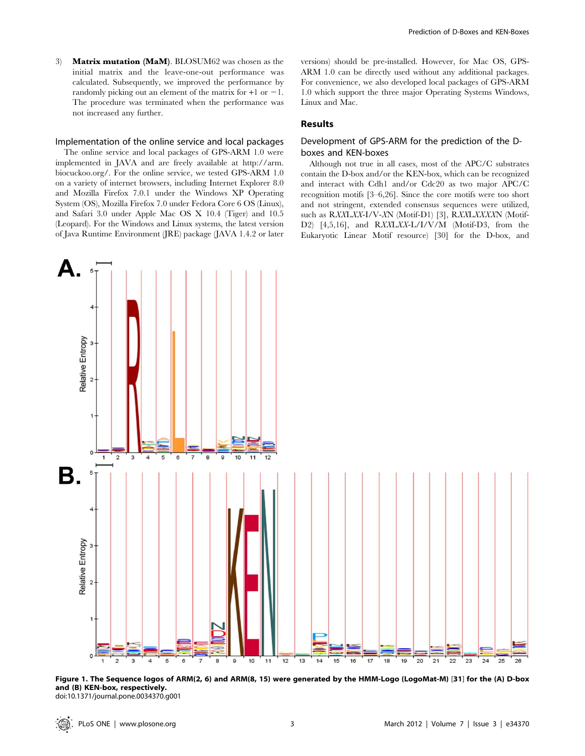3) Matrix mutation (MaM). BLOSUM62 was chosen as the initial matrix and the leave-one-out performance was calculated. Subsequently, we improved the performance by randomly picking out an element of the matrix for  $+1$  or  $-1$ . The procedure was terminated when the performance was not increased any further.

#### Implementation of the online service and local packages

The online service and local packages of GPS-ARM 1.0 were implemented in JAVA and are freely available at http://arm. biocuckoo.org/. For the online service, we tested GPS-ARM 1.0 on a variety of internet browsers, including Internet Explorer 8.0 and Mozilla Firefox 7.0.1 under the Windows XP Operating System (OS), Mozilla Firefox 7.0 under Fedora Core 6 OS (Linux), and Safari 3.0 under Apple Mac OS X 10.4 (Tiger) and 10.5 (Leopard). For the Windows and Linux systems, the latest version of Java Runtime Environment (JRE) package (JAVA 1.4.2 or later

versions) should be pre-installed. However, for Mac OS, GPS-ARM 1.0 can be directly used without any additional packages. For convenience, we also developed local packages of GPS-ARM 1.0 which support the three major Operating Systems Windows, Linux and Mac.

# Results

# Development of GPS-ARM for the prediction of the Dboxes and KEN-boxes

Although not true in all cases, most of the APC/C substrates contain the D-box and/or the KEN-box, which can be recognized and interact with Cdh1 and/or Cdc20 as two major APC/C recognition motifs [3–6,26]. Since the core motifs were too short and not stringent, extended consensus sequences were utilized, such as RXXLXX-I/V-XN (Motif-D1) [3], RXXLXXXXN (Motif-D2) [4,5,16], and RXXLXX-L/I/V/M (Motif-D3, from the Eukaryotic Linear Motif resource) [30] for the D-box, and



Figure 1. The Sequence logos of ARM(2, 6) and ARM(8, 15) were generated by the HMM-Logo (LogoMat-M) [31] for the (A) D-box and (B) KEN-box, respectively. doi:10.1371/journal.pone.0034370.g001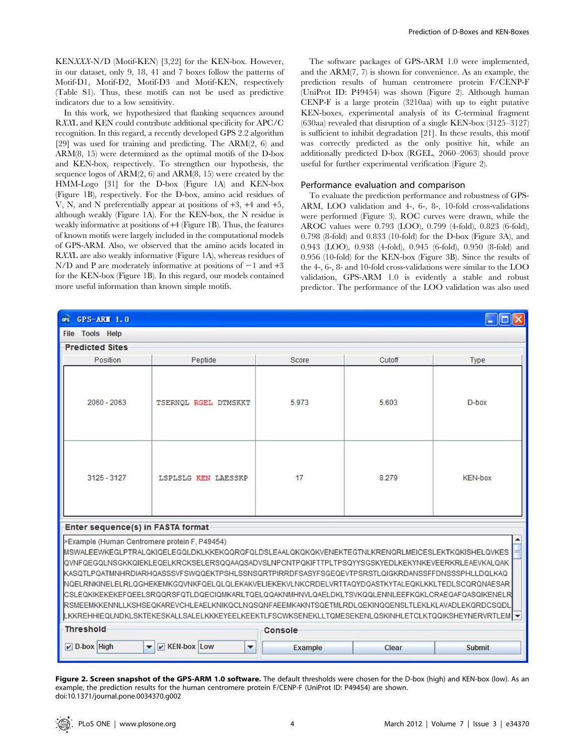KENXXX-N/D (Motif-KEN) [3,22] for the KEN-box. However, in our dataset, only 9, 18, 41 and 7 boxes follow the patterns of Motif-D1, Motif-D2, Motif-D3 and Motif-KEN, respectively (Table S1). Thus, these motifs can not be used as predictive indicators due to a low sensitivity.

In this work, we hypothesized that flanking sequences around RXXL and KEN could contribute additional specificity for APC/C recognition. In this regard, a recently developed GPS 2.2 algorithm [29] was used for training and predicting. The ARM(2, 6) and ARM(8, 15) were determined as the optimal motifs of the D-box and KEN-box, respectively. To strengthen our hypothesis, the sequence logos of ARM(2, 6) and ARM(8, 15) were created by the HMM-Logo [31] for the D-box (Figure 1A) and KEN-box (Figure 1B), respectively. For the D-box, amino acid residues of V, N, and N preferentially appear at positions of +3, +4 and +5, although weakly (Figure 1A). For the KEN-box, the N residue is weakly informative at positions of +4 (Figure 1B). Thus, the features of known motifs were largely included in the computational models of GPS-ARM. Also, we observed that the amino acids located in RXXL are also weakly informative (Figure 1A), whereas residues of N/D and P are moderately informative at positions of  $-1$  and  $+3$ for the KEN-box (Figure 1B). In this regard, our models contained more useful information than known simple motifs.

The software packages of GPS-ARM 1.0 were implemented, and the ARM(7, 7) is shown for convenience. As an example, the prediction results of human centromere protein F/CENP-F (UniProt ID: P49454) was shown (Figure 2). Although human CENP-F is a large protein (3210aa) with up to eight putative KEN-boxes, experimental analysis of its C-terminal fragment (630aa) revealed that disruption of a single KEN-box (3125–3127) is sufficient to inhibit degradation [21]. In these results, this motif was correctly predicted as the only positive hit, while an additionally predicted D-box (RGEL, 2060–2063) should prove useful for further experimental verification (Figure 2).

#### Performance evaluation and comparison

To evaluate the prediction performance and robustness of GPS-ARM, LOO validation and 4-, 6-, 8-, 10-fold cross-validations were performed (Figure 3). ROC curves were drawn, while the AROC values were 0.793 (LOO), 0.799 (4-fold), 0.823 (6-fold), 0.798 (8-fold) and 0.833 (10-fold) for the D-box (Figure 3A), and 0.943 (LOO), 0.938 (4-fold), 0.945 (6-fold), 0.950 (8-fold) and 0.956 (10-fold) for the KEN-box (Figure 3B). Since the results of the 4-, 6-, 8- and 10-fold cross-validations were similar to the LOO validation, GPS-ARM 1.0 is evidently a stable and robust predictor. The performance of the LOO validation was also used

| $GPS-ARII$ 1.0<br><b>GPS</b>                                                                                                                                                                                                                                                                                                                                                                                                                                                                                                                                                                                                                                                                                                                                                                                |                                                      |                |       |               |  |  |  |  |
|-------------------------------------------------------------------------------------------------------------------------------------------------------------------------------------------------------------------------------------------------------------------------------------------------------------------------------------------------------------------------------------------------------------------------------------------------------------------------------------------------------------------------------------------------------------------------------------------------------------------------------------------------------------------------------------------------------------------------------------------------------------------------------------------------------------|------------------------------------------------------|----------------|-------|---------------|--|--|--|--|
| <b>File Tools Help</b>                                                                                                                                                                                                                                                                                                                                                                                                                                                                                                                                                                                                                                                                                                                                                                                      |                                                      |                |       |               |  |  |  |  |
| <b>Predicted Sites</b>                                                                                                                                                                                                                                                                                                                                                                                                                                                                                                                                                                                                                                                                                                                                                                                      |                                                      |                |       |               |  |  |  |  |
| Position                                                                                                                                                                                                                                                                                                                                                                                                                                                                                                                                                                                                                                                                                                                                                                                                    | Peptide<br>Score<br>Cutoff<br><b>Type</b>            |                |       |               |  |  |  |  |
| $2060 - 2063$                                                                                                                                                                                                                                                                                                                                                                                                                                                                                                                                                                                                                                                                                                                                                                                               | TSERNQL RGEL DTMSKKT                                 | 5.973          | 5.603 | $D-box$       |  |  |  |  |
| $3125 - 3127$                                                                                                                                                                                                                                                                                                                                                                                                                                                                                                                                                                                                                                                                                                                                                                                               | 17<br>8.279<br><b>KEN-box</b><br>LSPLSLG KEN LAESSKP |                |       |               |  |  |  |  |
|                                                                                                                                                                                                                                                                                                                                                                                                                                                                                                                                                                                                                                                                                                                                                                                                             | Enter sequence(s) in FASTA format                    |                |       |               |  |  |  |  |
| >Example (Human Centromere protein F, P49454)<br>IMSWALEEWKEGLPTRALQKIQELEGQLDKLKKEKQQRQFQLDSLEAALQKQKQKVENEKTEGTNLKRENQRLMEICESLEKTKQKISHELQVKES<br>QVNFQEGQLNSGKKQIEKLEQELKRCKSELERSQQAAQSADVSLNPCNTPQKIFTTPLTPSQYYSGSKYEDLKEKYNKEVEERKRLEAEVKALQAK<br>IKASQTLPQATMNHRDIARHQASSSVFSWQQEKTPSHLSSNSQRTPIRRDFSASYFSGEQEVTPSRSTLQIGKRDANSSFFDNSSSPHLLDQLKAQ<br>NQELRNKINELELRLQGHEKEMKGQVNKFQELQLQLEKAKVELIEKEKVLNKCRDELVRTTAQYDQASTKYTALEQKLKKLTEDLSCQRQNAESAR<br> CSLEQKIKEKEKEFQEELSRQQRSFQTLDQECIQMKARLTQELQQAKNMHNVLQAELDKLTSVKQQLENNLEEFKQKLCRAEQAFQASQIKENELR<br>RSMEEMKKENNLLKSHSEQKAREVCHLEAELKNIKQCLNQSQNFAEEMKAKNTSQETMLRDLQEKINQQENSLTLEKLKLAVADLEKQRDCSQDL<br>LKKREHHIEQLNDKLSKTEKESKALLSALELKKKEYEELKEEKTLFSCWKSENEKLLTQMESEKENLQSKINHLETCLKTQQIKSHEYNERVRTLEM V<br><b>Threshold</b><br>Console |                                                      |                |       |               |  |  |  |  |
|                                                                                                                                                                                                                                                                                                                                                                                                                                                                                                                                                                                                                                                                                                                                                                                                             |                                                      |                |       |               |  |  |  |  |
| $\nu$ D-box High<br>$\blacktriangledown$                                                                                                                                                                                                                                                                                                                                                                                                                                                                                                                                                                                                                                                                                                                                                                    | $V$ KEN-box Low<br>$\blacktriangledown$              | <b>Example</b> | Clear | <b>Submit</b> |  |  |  |  |

Figure 2. Screen snapshot of the GPS-ARM 1.0 software. The default thresholds were chosen for the D-box (high) and KEN-box (low). As an example, the prediction results for the human centromere protein F/CENP-F (UniProt ID: P49454) are shown. doi:10.1371/journal.pone.0034370.g002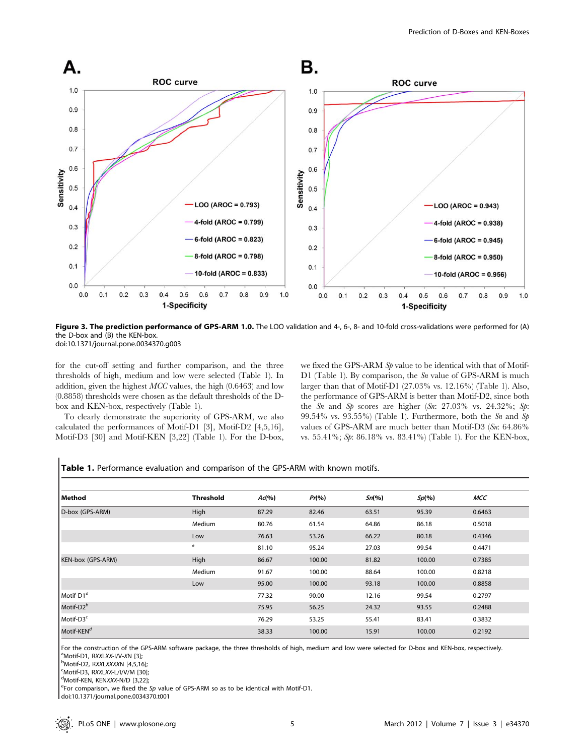

Figure 3. The prediction performance of GPS-ARM 1.0. The LOO validation and 4-, 6-, 8- and 10-fold cross-validations were performed for (A) the D-box and (B) the KEN-box. doi:10.1371/journal.pone.0034370.g003

for the cut-off setting and further comparison, and the three thresholds of high, medium and low were selected (Table 1). In addition, given the highest MCC values, the high (0.6463) and low (0.8858) thresholds were chosen as the default thresholds of the Dbox and KEN-box, respectively (Table 1).

To clearly demonstrate the superiority of GPS-ARM, we also calculated the performances of Motif-D1 [3], Motif-D2 [4,5,16], Motif-D3 [30] and Motif-KEN [3,22] (Table 1). For the D-box, we fixed the GPS-ARM Sp value to be identical with that of Motif-D1 (Table 1). By comparison, the Sn value of GPS-ARM is much larger than that of Motif-D1 (27.03% vs. 12.16%) (Table 1). Also, the performance of GPS-ARM is better than Motif-D2, since both the Sn and Sp scores are higher (Sn: 27.03% vs. 24.32%; Sp: 99.54% vs. 93.55%) (Table 1). Furthermore, both the  $Sn$  and  $Sp$ values of GPS-ARM are much better than Motif-D3 (Sn: 64.86% vs. 55.41%; Sp: 86.18% vs. 83.41%) (Table 1). For the KEN-box,

| Method                 | <b>Threshold</b> | Ad(%) | $Pr(\% )$ | Sn(%) | Sp(%)  | <b>MCC</b> |
|------------------------|------------------|-------|-----------|-------|--------|------------|
| D-box (GPS-ARM)        | High             | 87.29 | 82.46     | 63.51 | 95.39  | 0.6463     |
|                        | Medium           | 80.76 | 61.54     | 64.86 | 86.18  | 0.5018     |
|                        | Low              | 76.63 | 53.26     | 66.22 | 80.18  | 0.4346     |
|                        | e                | 81.10 | 95.24     | 27.03 | 99.54  | 0.4471     |
| KEN-box (GPS-ARM)      | High             | 86.67 | 100.00    | 81.82 | 100.00 | 0.7385     |
|                        | Medium           | 91.67 | 100.00    | 88.64 | 100.00 | 0.8218     |
|                        | Low              | 95.00 | 100.00    | 93.18 | 100.00 | 0.8858     |
| Motif-D1 <sup>a</sup>  |                  | 77.32 | 90.00     | 12.16 | 99.54  | 0.2797     |
| Motif- $D2^b$          |                  | 75.95 | 56.25     | 24.32 | 93.55  | 0.2488     |
| Motif-D3 <sup>c</sup>  |                  | 76.29 | 53.25     | 55.41 | 83.41  | 0.3832     |
| Motif-KEN <sup>d</sup> |                  | 38.33 | 100.00    | 15.91 | 100.00 | 0.2192     |

Table 1. Performance evaluation and comparison of the GPS-ARM with known motifs.

For the construction of the GPS-ARM software package, the three thresholds of high, medium and low were selected for D-box and KEN-box, respectively. <sup>a</sup>Motif-D1, RXXI XX-I/V-XN [3]: <sup>a</sup>Motif-D1, RXXLXX-I/V-XN [3];<br><sup>b</sup>Motif-D2, RXXLXXXN [4.5.14

<sup>b</sup>Motif-D2, RXXLXXXXN [4,5,16];<br><sup>c</sup>Motif D2, RXXLXXXN [4,5,16];

 ${}^{\text{c}}$ Motif-D3, RXXLXX-L/I/V/M [30];

<sup>d</sup>Motif-KEN, KENXXX-N/D [3,22];

<sup>e</sup>For comparison, we fixed the Sp value of GPS-ARM so as to be identical with Motif-D1.

doi:10.1371/journal.pone.0034370.t001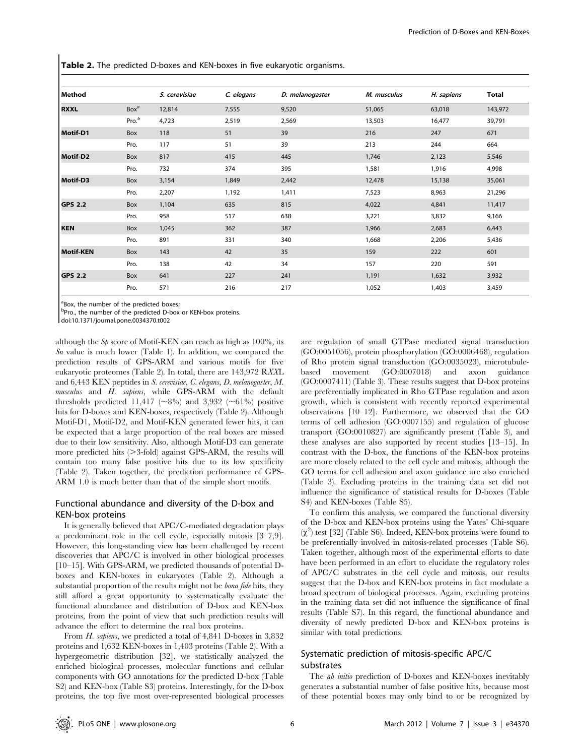Table 2. The predicted D-boxes and KEN-boxes in five eukaryotic organisms.

| Method           |                   | S. cerevisiae | C. elegans | D. melanogaster | M. musculus | H. sapiens | <b>Total</b> |
|------------------|-------------------|---------------|------------|-----------------|-------------|------------|--------------|
| <b>RXXL</b>      | Box <sup>a</sup>  | 12,814        | 7,555      | 9,520           | 51,065      | 63,018     | 143,972      |
|                  | Pro. <sup>b</sup> | 4,723         | 2,519      | 2,569           | 13,503      | 16,477     | 39,791       |
| Motif-D1         | Box               | 118           | 51         | 39              | 216         | 247        | 671          |
|                  | Pro.              | 117           | 51         | 39              | 213         | 244        | 664          |
| Motif-D2         | Box               | 817           | 415        | 445             | 1,746       | 2,123      | 5,546        |
|                  | Pro.              | 732           | 374        | 395             | 1,581       | 1,916      | 4,998        |
| Motif-D3         | Box               | 3,154         | 1,849      | 2,442           | 12,478      | 15,138     | 35,061       |
|                  | Pro.              | 2,207         | 1,192      | 1,411           | 7,523       | 8,963      | 21,296       |
| <b>GPS 2.2</b>   | Box               | 1,104         | 635        | 815             | 4,022       | 4,841      | 11,417       |
|                  | Pro.              | 958           | 517        | 638             | 3,221       | 3,832      | 9,166        |
| <b>KEN</b>       | Box               | 1,045         | 362        | 387             | 1,966       | 2,683      | 6,443        |
|                  | Pro.              | 891           | 331        | 340             | 1,668       | 2,206      | 5,436        |
| <b>Motif-KEN</b> | Box               | 143           | 42         | 35              | 159         | 222        | 601          |
|                  | Pro.              | 138           | 42         | 34              | 157         | 220        | 591          |
| <b>GPS 2.2</b>   | Box               | 641           | 227        | 241             | 1,191       | 1,632      | 3,932        |
|                  | Pro.              | 571           | 216        | 217             | 1,052       | 1,403      | 3,459        |

<sup>a</sup>Box, the number of the predicted boxes;

bPro., the number of the predicted D-box or KEN-box proteins.

doi:10.1371/journal.pone.0034370.t002

although the  $Sp$  score of Motif-KEN can reach as high as 100%, its  $Sn$  value is much lower (Table 1). In addition, we compared the prediction results of GPS-ARM and various motifs for five eukaryotic proteomes (Table 2). In total, there are 143,972 RXXL and 6,443 KEN peptides in S. cerevisiae, C. elegans, D. melanogaster, M. musculus and H. sapiens, while GPS-ARM with the default thresholds predicted 11,417 ( $\sim$ 8%) and 3,932 ( $\sim$ 61%) positive hits for D-boxes and KEN-boxes, respectively (Table 2). Although Motif-D1, Motif-D2, and Motif-KEN generated fewer hits, it can be expected that a large proportion of the real boxes are missed due to their low sensitivity. Also, although Motif-D3 can generate more predicted hits  $(>3$ -fold) against GPS-ARM, the results will contain too many false positive hits due to its low specificity (Table 2). Taken together, the prediction performance of GPS-ARM 1.0 is much better than that of the simple short motifs.

# Functional abundance and diversity of the D-box and KEN-box proteins

It is generally believed that APC/C-mediated degradation plays a predominant role in the cell cycle, especially mitosis [3–7,9]. However, this long-standing view has been challenged by recent discoveries that APC/C is involved in other biological processes [10–15]. With GPS-ARM, we predicted thousands of potential Dboxes and KEN-boxes in eukaryotes (Table 2). Although a substantial proportion of the results might not be *bona fide* hits, they still afford a great opportunity to systematically evaluate the functional abundance and distribution of D-box and KEN-box proteins, from the point of view that such prediction results will advance the effort to determine the real box proteins.

From H. sapiens, we predicted a total of 4,841 D-boxes in 3,832 proteins and 1,632 KEN-boxes in 1,403 proteins (Table 2). With a hypergeometric distribution [32], we statistically analyzed the enriched biological processes, molecular functions and cellular components with GO annotations for the predicted D-box (Table S2) and KEN-box (Table S3) proteins. Interestingly, for the D-box proteins, the top five most over-represented biological processes

are regulation of small GTPase mediated signal transduction (GO:0051056), protein phosphorylation (GO:0006468), regulation of Rho protein signal transduction (GO:0035023), microtubulebased movement (GO:0007018) and axon guidance (GO:0007411) (Table 3). These results suggest that D-box proteins are preferentially implicated in Rho GTPase regulation and axon growth, which is consistent with recently reported experimental observations [10–12]. Furthermore, we observed that the GO terms of cell adhesion (GO:0007155) and regulation of glucose transport (GO:0010827) are significantly present (Table 3), and these analyses are also supported by recent studies [13–15]. In contrast with the D-box, the functions of the KEN-box proteins are more closely related to the cell cycle and mitosis, although the GO terms for cell adhesion and axon guidance are also enriched (Table 3). Excluding proteins in the training data set did not influence the significance of statistical results for D-boxes (Table S4) and KEN-boxes (Table S5).

To confirm this analysis, we compared the functional diversity of the D-box and KEN-box proteins using the Yates' Chi-square  $(\chi^2)$  test [32] (Table S6). Indeed, KEN-box proteins were found to be preferentially involved in mitosis-related processes (Table S6). Taken together, although most of the experimental efforts to date have been performed in an effort to elucidate the regulatory roles of APC/C substrates in the cell cycle and mitosis, our results suggest that the D-box and KEN-box proteins in fact modulate a broad spectrum of biological processes. Again, excluding proteins in the training data set did not influence the significance of final results (Table S7). In this regard, the functional abundance and diversity of newly predicted D-box and KEN-box proteins is similar with total predictions.

# Systematic prediction of mitosis-specific APC/C substrates

The ab initio prediction of D-boxes and KEN-boxes inevitably generates a substantial number of false positive hits, because most of these potential boxes may only bind to or be recognized by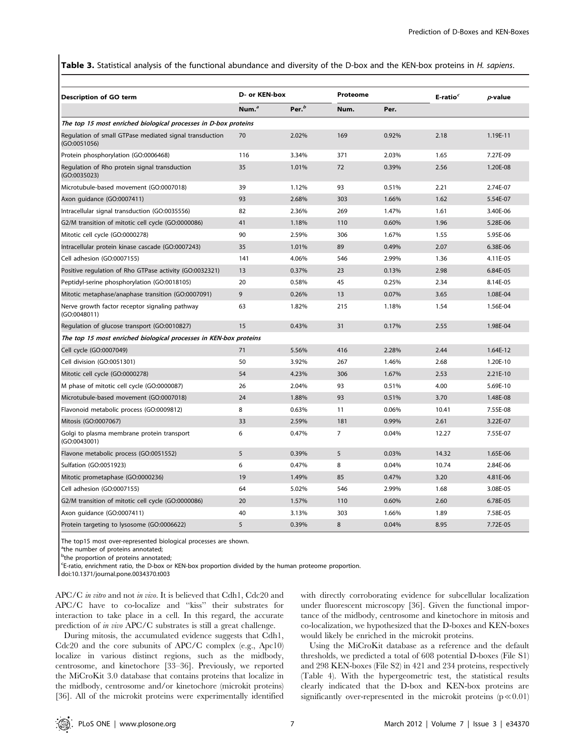Table 3. Statistical analysis of the functional abundance and diversity of the D-box and the KEN-box proteins in H. sapiens.

| <b>Description of GO term</b>                                           | D- or KEN-box     |                   |      | Proteome |       | $p$ -value |
|-------------------------------------------------------------------------|-------------------|-------------------|------|----------|-------|------------|
|                                                                         | Num. <sup>a</sup> | Per. <sup>b</sup> | Num. | Per.     |       |            |
| The top 15 most enriched biological processes in D-box proteins         |                   |                   |      |          |       |            |
| Regulation of small GTPase mediated signal transduction<br>(GO:0051056) | 70                | 2.02%             | 169  | 0.92%    | 2.18  | 1.19E-11   |
| Protein phosphorylation (GO:0006468)                                    | 116               | 3.34%             | 371  | 2.03%    | 1.65  | 7.27E-09   |
| Regulation of Rho protein signal transduction<br>(GO:0035023)           | 35                | 1.01%             | 72   | 0.39%    | 2.56  | 1.20E-08   |
| Microtubule-based movement (GO:0007018)                                 | 39                | 1.12%             | 93   | 0.51%    | 2.21  | 2.74E-07   |
| Axon quidance (GO:0007411)                                              | 93                | 2.68%             | 303  | 1.66%    | 1.62  | 5.54E-07   |
| Intracellular signal transduction (GO:0035556)                          | 82                | 2.36%             | 269  | 1.47%    | 1.61  | 3.40E-06   |
| G2/M transition of mitotic cell cycle (GO:0000086)                      | 41                | 1.18%             | 110  | 0.60%    | 1.96  | 5.28E-06   |
| Mitotic cell cycle (GO:0000278)                                         | 90                | 2.59%             | 306  | 1.67%    | 1.55  | 5.95E-06   |
| Intracellular protein kinase cascade (GO:0007243)                       | 35                | 1.01%             | 89   | 0.49%    | 2.07  | 6.38E-06   |
| Cell adhesion (GO:0007155)                                              | 141               | 4.06%             | 546  | 2.99%    | 1.36  | 4.11E-05   |
| Positive regulation of Rho GTPase activity (GO:0032321)                 | 13                | 0.37%             | 23   | 0.13%    | 2.98  | 6.84E-05   |
| Peptidyl-serine phosphorylation (GO:0018105)                            | 20                | 0.58%             | 45   | 0.25%    | 2.34  | 8.14E-05   |
| Mitotic metaphase/anaphase transition (GO:0007091)                      | 9                 | 0.26%             | 13   | 0.07%    | 3.65  | 1.08E-04   |
| Nerve growth factor receptor signaling pathway<br>(GO:0048011)          | 63                | 1.82%             | 215  | 1.18%    | 1.54  | 1.56E-04   |
| Regulation of glucose transport (GO:0010827)                            | 15                | 0.43%             | 31   | 0.17%    | 2.55  | 1.98E-04   |
| The top 15 most enriched biological processes in KEN-box proteins       |                   |                   |      |          |       |            |
| Cell cycle (GO:0007049)                                                 | 71                | 5.56%             | 416  | 2.28%    | 2.44  | 1.64E-12   |
| Cell division (GO:0051301)                                              | 50                | 3.92%             | 267  | 1.46%    | 2.68  | 1.20E-10   |
| Mitotic cell cycle (GO:0000278)                                         | 54                | 4.23%             | 306  | 1.67%    | 2.53  | $2.21E-10$ |
| M phase of mitotic cell cycle (GO:0000087)                              | 26                | 2.04%             | 93   | 0.51%    | 4.00  | 5.69E-10   |
| Microtubule-based movement (GO:0007018)                                 | 24                | 1.88%             | 93   | 0.51%    | 3.70  | 1.48E-08   |
| Flavonoid metabolic process (GO:0009812)                                | 8                 | 0.63%             | 11   | 0.06%    | 10.41 | 7.55E-08   |
| Mitosis (GO:0007067)                                                    | 33                | 2.59%             | 181  | 0.99%    | 2.61  | 3.22E-07   |
| Golgi to plasma membrane protein transport<br>(GO:0043001)              | 6                 | 0.47%             | 7    | 0.04%    | 12.27 | 7.55E-07   |
| Flavone metabolic process (GO:0051552)                                  | 5                 | 0.39%             | 5    | 0.03%    | 14.32 | 1.65E-06   |
| Sulfation (GO:0051923)                                                  | 6                 | 0.47%             | 8    | 0.04%    | 10.74 | 2.84E-06   |
| Mitotic prometaphase (GO:0000236)                                       | 19                | 1.49%             | 85   | 0.47%    | 3.20  | 4.81E-06   |
| Cell adhesion (GO:0007155)                                              | 64                | 5.02%             | 546  | 2.99%    | 1.68  | 3.08E-05   |
| G2/M transition of mitotic cell cycle (GO:0000086)                      | 20                | 1.57%             | 110  | 0.60%    | 2.60  | 6.78E-05   |
| Axon quidance (GO:0007411)                                              | 40                | 3.13%             | 303  | 1.66%    | 1.89  | 7.58E-05   |
| Protein targeting to lysosome (GO:0006622)                              | 5                 | 0.39%             | 8    | 0.04%    | 8.95  | 7.72E-05   |

The top15 most over-represented biological processes are shown.

<sup>a</sup>the number of proteins annotated;

<sup>b</sup>the proportion of proteins annotated;

c E-ratio, enrichment ratio, the D-box or KEN-box proportion divided by the human proteome proportion.

doi:10.1371/journal.pone.0034370.t003

APC/C *in vitro* and not *in vivo*. It is believed that Cdh1, Cdc20 and APC/C have to co-localize and ''kiss'' their substrates for interaction to take place in a cell. In this regard, the accurate prediction of in vivo APC/C substrates is still a great challenge.

During mitosis, the accumulated evidence suggests that Cdh1, Cdc20 and the core subunits of APC/C complex (e.g., Apc10) localize in various distinct regions, such as the midbody, centrosome, and kinetochore [33–36]. Previously, we reported the MiCroKit 3.0 database that contains proteins that localize in the midbody, centrosome and/or kinetochore (microkit proteins) [36]. All of the microkit proteins were experimentally identified with directly corroborating evidence for subcellular localization under fluorescent microscopy [36]. Given the functional importance of the midbody, centrosome and kinetochore in mitosis and co-localization, we hypothesized that the D-boxes and KEN-boxes would likely be enriched in the microkit proteins.

Using the MiCroKit database as a reference and the default thresholds, we predicted a total of 608 potential D-boxes (File S1) and 298 KEN-boxes (File S2) in 421 and 234 proteins, respectively (Table 4). With the hypergeometric test, the statistical results clearly indicated that the D-box and KEN-box proteins are significantly over-represented in the microkit proteins  $(p \ll 0.01)$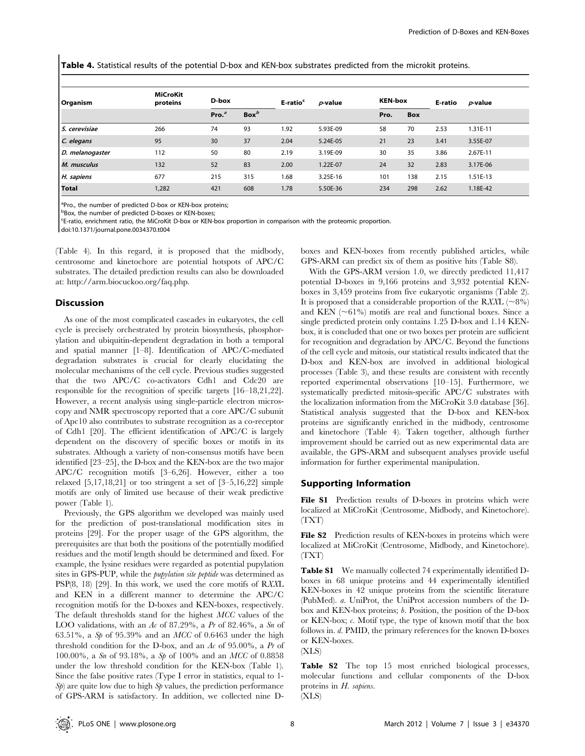Table 4. Statistical results of the potential D-box and KEN-box substrates predicted from the microkit proteins.

| Organism        | <b>MiCroKit</b><br>proteins | D-box             |                  | E-ratio <sup>c</sup> | $p$ -value | <b>KEN-box</b> |            | E-ratio | $p$ -value |
|-----------------|-----------------------------|-------------------|------------------|----------------------|------------|----------------|------------|---------|------------|
|                 |                             | Pro. <sup>a</sup> | Box <sup>b</sup> |                      |            | Pro.           | <b>Box</b> |         |            |
| S. cerevisiae   | 266                         | 74                | 93               | 1.92                 | 5.93E-09   | 58             | 70         | 2.53    | 1.31E-11   |
| C. elegans      | 95                          | 30                | 37               | 2.04                 | 5.24E-05   | 21             | 23         | 3.41    | 3.55E-07   |
| D. melanogaster | 112                         | 50                | 80               | 2.19                 | 3.19E-09   | 30             | 35         | 3.86    | 2.67E-11   |
| M. musculus     | 132                         | 52                | 83               | 2.00                 | 1.22E-07   | 24             | 32         | 2.83    | 3.17E-06   |
| H. sapiens      | 677                         | 215               | 315              | 1.68                 | 3.25E-16   | 101            | 138        | 2.15    | 1.51E-13   |
| Total           | 1,282                       | 421               | 608              | 1.78                 | 5.50E-36   | 234            | 298        | 2.62    | 1.18E-42   |

<sup>a</sup>Pro., the number of predicted D-box or KEN-box proteins;

bBox, the number of predicted D-boxes or KEN-boxes;

c E-ratio, enrichment ratio, the MiCroKit D-box or KEN-box proportion in comparison with the proteomic proportion.

doi:10.1371/journal.pone.0034370.t004

(Table 4). In this regard, it is proposed that the midbody, centrosome and kinetochore are potential hotspots of APC/C substrates. The detailed prediction results can also be downloaded at: http://arm.biocuckoo.org/faq.php.

# Discussion

As one of the most complicated cascades in eukaryotes, the cell cycle is precisely orchestrated by protein biosynthesis, phosphorylation and ubiquitin-dependent degradation in both a temporal and spatial manner [1–8]. Identification of APC/C-mediated degradation substrates is crucial for clearly elucidating the molecular mechanisms of the cell cycle. Previous studies suggested that the two APC/C co-activators Cdh1 and Cdc20 are responsible for the recognition of specific targets [16–18,21,22]. However, a recent analysis using single-particle electron microscopy and NMR spectroscopy reported that a core APC/C subunit of Apc10 also contributes to substrate recognition as a co-receptor of Cdh1 [20]. The efficient identification of APC/C is largely dependent on the discovery of specific boxes or motifs in its substrates. Although a variety of non-consensus motifs have been identified [23–25], the D-box and the KEN-box are the two major APC/C recognition motifs [3–6,26]. However, either a too relaxed  $[5,17,18,21]$  or too stringent a set of  $[3-5,16,22]$  simple motifs are only of limited use because of their weak predictive power (Table 1).

Previously, the GPS algorithm we developed was mainly used for the prediction of post-translational modification sites in proteins [29]. For the proper usage of the GPS algorithm, the prerequisites are that both the positions of the potentially modified residues and the motif length should be determined and fixed. For example, the lysine residues were regarded as potential pupylation sites in GPS-PUP, while the pupylation site peptide was determined as PSP(8, 18) [29]. In this work, we used the core motifs of RXXL and KEN in a different manner to determine the APC/C recognition motifs for the D-boxes and KEN-boxes, respectively. The default thresholds stand for the highest MCC values of the LOO validations, with an Ac of 87.29%, a Pr of 82.46%, a Sn of 63.51%, a Sp of 95.39% and an MCC of 0.6463 under the high threshold condition for the D-box, and an Ac of 95.00%, a Pr of 100.00%, a Sn of 93.18%, a Sp of 100% and an MCC of 0.8858 under the low threshold condition for the KEN-box (Table 1). Since the false positive rates (Type I error in statistics, equal to 1-  $S_p$ ) are quite low due to high  $S_p$  values, the prediction performance of GPS-ARM is satisfactory. In addition, we collected nine D-

boxes and KEN-boxes from recently published articles, while GPS-ARM can predict six of them as positive hits (Table S8).

With the GPS-ARM version 1.0, we directly predicted 11,417 potential D-boxes in 9,166 proteins and 3,932 potential KENboxes in 3,459 proteins from five eukaryotic organisms (Table 2). It is proposed that a considerable proportion of the RXXL ( $\sim$ 8%) and KEN  $(\sim 61\%)$  motifs are real and functional boxes. Since a single predicted protein only contains 1.25 D-box and 1.14 KENbox, it is concluded that one or two boxes per protein are sufficient for recognition and degradation by APC/C. Beyond the functions of the cell cycle and mitosis, our statistical results indicated that the D-box and KEN-box are involved in additional biological processes (Table 3), and these results are consistent with recently reported experimental observations [10–15]. Furthermore, we systematically predicted mitosis-specific APC/C substrates with the localization information from the MiCroKit 3.0 database [36]. Statistical analysis suggested that the D-box and KEN-box proteins are significantly enriched in the midbody, centrosome and kinetochore (Table 4). Taken together, although further improvement should be carried out as new experimental data are available, the GPS-ARM and subsequent analyses provide useful information for further experimental manipulation.

# Supporting Information

File S1 Prediction results of D-boxes in proteins which were localized at MiCroKit (Centrosome, Midbody, and Kinetochore). (TXT)

File S2 Prediction results of KEN-boxes in proteins which were localized at MiCroKit (Centrosome, Midbody, and Kinetochore). (TXT)

Table S1 We manually collected 74 experimentally identified Dboxes in 68 unique proteins and 44 experimentally identified KEN-boxes in 42 unique proteins from the scientific literature (PubMed). a. UniProt, the UniProt accession numbers of the Dbox and KEN-box proteins; b. Position, the position of the D-box or KEN-box; c. Motif type, the type of known motif that the box follows in. d. PMID, the primary references for the known D-boxes or KEN-boxes.

(XLS)

Table S2 The top 15 most enriched biological processes, molecular functions and cellular components of the D-box proteins in H. sapiens.

(XLS)